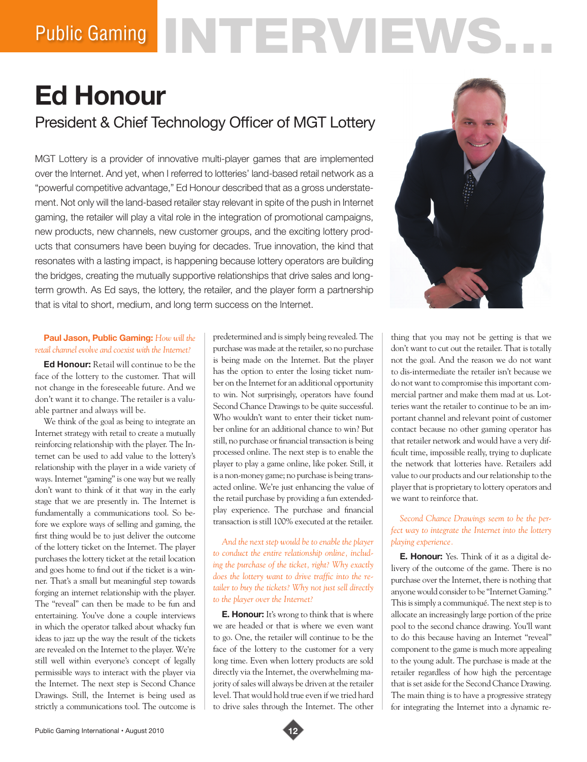# Public Gaming NTERVIEWS

# **Ed Honour**

President & Chief Technology Officer of MGT Lottery

MGT Lottery is a provider of innovative multi-player games that are implemented over the Internet. And yet, when I referred to lotteries' land-based retail network as a "powerful competitive advantage," Ed Honour described that as a gross understatement. Not only will the land-based retailer stay relevant in spite of the push in Internet gaming, the retailer will play a vital role in the integration of promotional campaigns, new products, new channels, new customer groups, and the exciting lottery products that consumers have been buying for decades. True innovation, the kind that resonates with a lasting impact, is happening because lottery operators are building the bridges, creating the mutually supportive relationships that drive sales and longterm growth. As Ed says, the lottery, the retailer, and the player form a partnership that is vital to short, medium, and long term success on the Internet.



# **Paul Jason, Public Gaming:** *How will the retail channel evolve and coexist with the Internet?*

**Ed Honour:** Retail will continue to be the face of the lottery to the customer. That will not change in the foreseeable future. And we don't want it to change. The retailer is a valuable partner and always will be.

We think of the goal as being to integrate an Internet strategy with retail to create a mutually reinforcing relationship with the player. The Internet can be used to add value to the lottery's relationship with the player in a wide variety of ways. Internet "gaming" is one way but we really don't want to think of it that way in the early stage that we are presently in. The Internet is fundamentally a communications tool. So before we explore ways of selling and gaming, the first thing would be to just deliver the outcome of the lottery ticket on the Internet. The player purchases the lottery ticket at the retail location and goes home to find out if the ticket is a winner. That's a small but meaningful step towards forging an internet relationship with the player. The "reveal" can then be made to be fun and entertaining. You've done a couple interviews in which the operator talked about whacky fun ideas to jazz up the way the result of the tickets are revealed on the Internet to the player. We're still well within everyone's concept of legally permissible ways to interact with the player via the Internet. The next step is Second Chance Drawings. Still, the Internet is being used as strictly a communications tool. The outcome is predetermined and is simply being revealed. The purchase was made at the retailer, so no purchase is being made on the Internet. But the player has the option to enter the losing ticket number on the Internet for an additional opportunity to win. Not surprisingly, operators have found Second Chance Drawings to be quite successful. Who wouldn't want to enter their ticket number online for an additional chance to win? But still, no purchase or financial transaction is being processed online. The next step is to enable the player to play a game online, like poker. Still, it is a non-money game; no purchase is being transacted online. We're just enhancing the value of the retail purchase by providing a fun extendedplay experience. The purchase and financial transaction is still 100% executed at the retailer.

*And the next step would be to enable the player to conduct the entire relationship online, including the purchase of the ticket, right? Why exactly does the lottery want to drive traffic into the retailer to buy the tickets? Why not just sell directly to the player over the Internet?* 

**E. Honour:** It's wrong to think that is where we are headed or that is where we even want to go. One, the retailer will continue to be the face of the lottery to the customer for a very long time. Even when lottery products are sold directly via the Internet, the overwhelming majority of sales will always be driven at the retailer level. That would hold true even if we tried hard to drive sales through the Internet. The other

thing that you may not be getting is that we don't want to cut out the retailer. That is totally not the goal. And the reason we do not want to dis-intermediate the retailer isn't because we do not want to compromise this important commercial partner and make them mad at us. Lotteries want the retailer to continue to be an important channel and relevant point of customer contact because no other gaming operator has that retailer network and would have a very difficult time, impossible really, trying to duplicate the network that lotteries have. Retailers add value to our products and our relationship to the player that is proprietary to lottery operators and we want to reinforce that.

# *Second Chance Drawings seem to be the perfect way to integrate the Internet into the lottery playing experience.*

**E. Honour:** Yes. Think of it as a digital delivery of the outcome of the game. There is no purchase over the Internet, there is nothing that anyone would consider to be "Internet Gaming." This is simply a communiqué. The next step is to allocate an increasingly large portion of the prize pool to the second chance drawing. You'll want to do this because having an Internet "reveal" component to the game is much more appealing to the young adult. The purchase is made at the retailer regardless of how high the percentage that is set aside for the Second Chance Drawing. The main thing is to have a progressive strategy for integrating the Internet into a dynamic re-

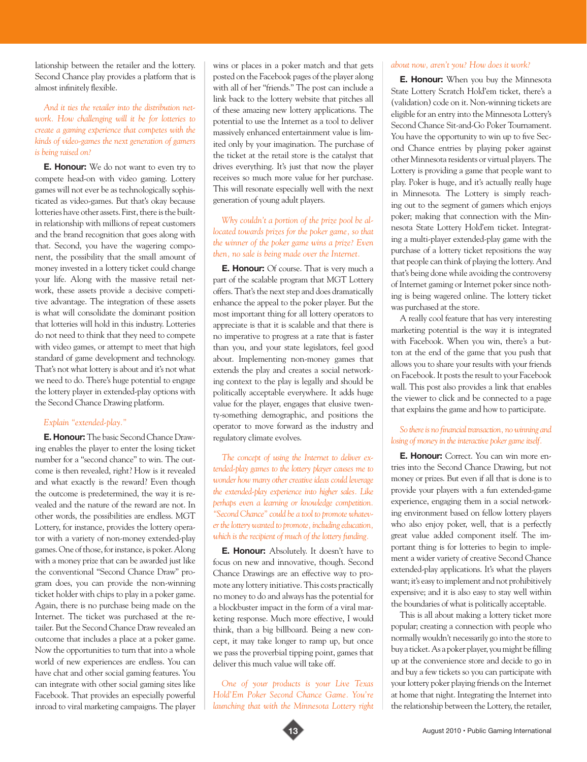lationship between the retailer and the lottery. Second Chance play provides a platform that is almost infinitely flexible.

# *And it ties the retailer into the distribution network. How challenging will it be for lotteries to create a gaming experience that competes with the kinds of video-games the next generation of gamers is being raised on?*

**E. Honour:** We do not want to even try to compete head-on with video gaming. Lottery games will not ever be as technologically sophisticated as video-games. But that's okay because lotteries have other assets. First, there is the builtin relationship with millions of repeat customers and the brand recognition that goes along with that. Second, you have the wagering component, the possibility that the small amount of money invested in a lottery ticket could change your life. Along with the massive retail network, these assets provide a decisive competitive advantage. The integration of these assets is what will consolidate the dominant position that lotteries will hold in this industry. Lotteries do not need to think that they need to compete with video games, or attempt to meet that high standard of game development and technology. That's not what lottery is about and it's not what we need to do. There's huge potential to engage the lottery player in extended-play options with the Second Chance Drawing platform.

#### *Explain "extended-play."*

**E. Honour:** The basic Second Chance Drawing enables the player to enter the losing ticket number for a "second chance" to win. The outcome is then revealed, right? How is it revealed and what exactly is the reward? Even though the outcome is predetermined, the way it is revealed and the nature of the reward are not. In other words, the possibilities are endless. MGT Lottery, for instance, provides the lottery operator with a variety of non-money extended-play games. One of those, for instance, is poker. Along with a money prize that can be awarded just like the conventional "Second Chance Draw" program does, you can provide the non-winning ticket holder with chips to play in a poker game. Again, there is no purchase being made on the Internet. The ticket was purchased at the retailer. But the Second Chance Draw revealed an outcome that includes a place at a poker game. Now the opportunities to turn that into a whole world of new experiences are endless. You can have chat and other social gaming features. You can integrate with other social gaming sites like Facebook. That provides an especially powerful inroad to viral marketing campaigns. The player

wins or places in a poker match and that gets posted on the Facebook pages of the player along with all of her "friends." The post can include a link back to the lottery website that pitches all of these amazing new lottery applications. The potential to use the Internet as a tool to deliver massively enhanced entertainment value is limited only by your imagination. The purchase of the ticket at the retail store is the catalyst that drives everything. It's just that now the player receives so much more value for her purchase. This will resonate especially well with the next generation of young adult players.

# *Why couldn't a portion of the prize pool be allocated towards prizes for the poker game, so that the winner of the poker game wins a prize? Even then, no sale is being made over the Internet.*

**E. Honour:** Of course. That is very much a part of the scalable program that MGT Lottery offers. That's the next step and does dramatically enhance the appeal to the poker player. But the most important thing for all lottery operators to appreciate is that it is scalable and that there is no imperative to progress at a rate that is faster than you, and your state legislators, feel good about. Implementing non-money games that extends the play and creates a social networking context to the play is legally and should be politically acceptable everywhere. It adds huge value for the player, engages that elusive twenty-something demographic, and positions the operator to move forward as the industry and regulatory climate evolves.

*The concept of using the Internet to deliver extended-play games to the lottery player causes me to wonder how many other creative ideas could leverage the extended-play experience into higher sales. Like perhaps even a learning or knowledge competition. "Second Chance" could be a tool to promote whatever the lottery wanted to promote, including education, which is the recipient of much of the lottery funding.* 

**E. Honour:** Absolutely. It doesn't have to focus on new and innovative, though. Second Chance Drawings are an effective way to promote any lottery initiative. This costs practically no money to do and always has the potential for a blockbuster impact in the form of a viral marketing response. Much more effective, I would think, than a big billboard. Being a new concept, it may take longer to ramp up, but once we pass the proverbial tipping point, games that deliver this much value will take off.

*One of your products is your Live Texas Hold'Em Poker Second Chance Game. You're launching that with the Minnesota Lottery right* 

#### *about now, aren't you? How does it work?*

**E. Honour:** When you buy the Minnesota State Lottery Scratch Hold'em ticket, there's a (validation) code on it. Non-winning tickets are eligible for an entry into the Minnesota Lottery's Second Chance Sit-and-Go Poker Tournament. You have the opportunity to win up to five Second Chance entries by playing poker against other Minnesota residents or virtual players. The Lottery is providing a game that people want to play. Poker is huge, and it's actually really huge in Minnesota. The Lottery is simply reaching out to the segment of gamers which enjoys poker; making that connection with the Minnesota State Lottery Hold'em ticket. Integrating a multi-player extended-play game with the purchase of a lottery ticket repositions the way that people can think of playing the lottery. And that's being done while avoiding the controversy of Internet gaming or Internet poker since nothing is being wagered online. The lottery ticket was purchased at the store.

A really cool feature that has very interesting marketing potential is the way it is integrated with Facebook. When you win, there's a button at the end of the game that you push that allows you to share your results with your friends on Facebook. It posts the result to your Facebook wall. This post also provides a link that enables the viewer to click and be connected to a page that explains the game and how to participate.

### *So there is no financial transaction, no winning and losing of money in the interactive poker game itself.*

**E. Honour:** Correct. You can win more entries into the Second Chance Drawing, but not money or prizes. But even if all that is done is to provide your players with a fun extended-game experience, engaging them in a social networking environment based on fellow lottery players who also enjoy poker, well, that is a perfectly great value added component itself. The important thing is for lotteries to begin to implement a wider variety of creative Second Chance extended-play applications. It's what the players want; it's easy to implement and not prohibitively expensive; and it is also easy to stay well within the boundaries of what is politically acceptable.

This is all about making a lottery ticket more popular; creating a connection with people who normally wouldn't necessarily go into the store to buy a ticket. As a poker player, you might be filling up at the convenience store and decide to go in and buy a few tickets so you can participate with your lottery poker playing friends on the Internet at home that night. Integrating the Internet into the relationship between the Lottery, the retailer,